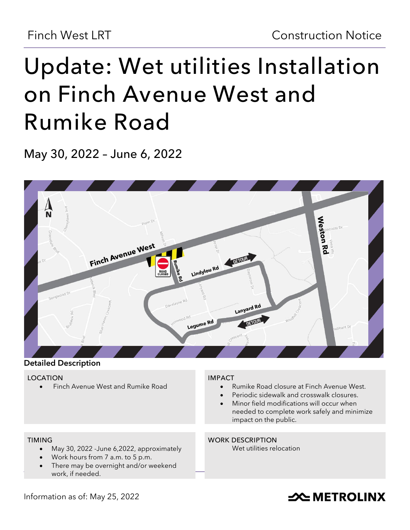# **Update: Wet utilities Installation on Finch Avenue West and Rumike Road**

**May 30, 2022 – June 6, 2022**





#### **LOCATION**

• Finch Avenue West and Rumike Road

#### **IMPACT**

- Rumike Road closure at Finch Avenue West.
- Periodic sidewalk and crosswalk closures.
- Minor field modifications will occur when needed to complete work safely and minimize impact on the public.

#### **TIMING**

- May 30, 2022 -June 6,2022, approximately
- Work hours from 7 a.m. to 5 p.m.
- There may be overnight and/or weekend work, if needed.

#### **WORK DESCRIPTION**

Wet utilities relocation

### Information as of: May 25, 2022

## **SOUTHER THE METROLINX**